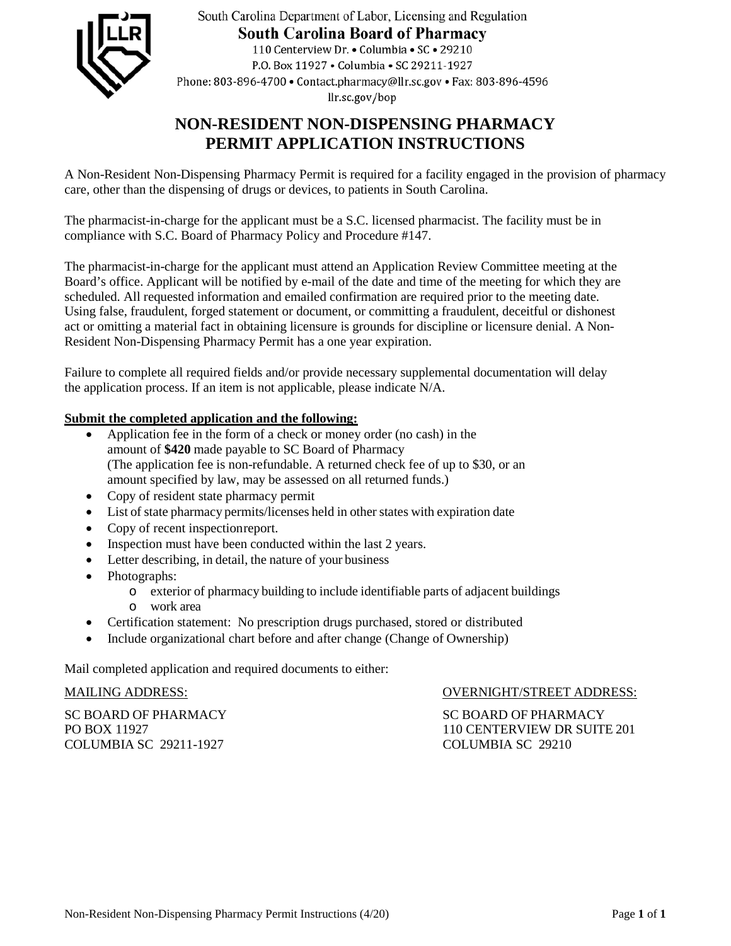

South Carolina Department of Labor, Licensing and Regulation **South Carolina Board of Pharmacy** 110 Centerview Dr. • Columbia • SC • 29210 P.O. Box 11927 . Columbia . SC 29211-1927 Phone: 803-896-4700 • Contact.pharmacy@llr.sc.gov • Fax: 803-896-4596 llr.sc.gov/bop

# **NON-RESIDENT NON-DISPENSING PHARMACY PERMIT APPLICATION INSTRUCTIONS**

A Non-Resident Non-Dispensing Pharmacy Permit is required for a facility engaged in the provision of pharmacy care, other than the dispensing of drugs or devices, to patients in South Carolina.

The pharmacist-in-charge for the applicant must be a S.C. licensed pharmacist. The facility must be in compliance with S.C. Board of Pharmacy Policy and Procedure #147.

The pharmacist-in-charge for the applicant must attend an Application Review Committee meeting at the Board's office. Applicant will be notified by e-mail of the date and time of the meeting for which they are scheduled. All requested information and emailed confirmation are required prior to the meeting date. Using false, fraudulent, forged statement or document, or committing a fraudulent, deceitful or dishonest act or omitting a material fact in obtaining licensure is grounds for discipline or licensure denial. A Non-Resident Non-Dispensing Pharmacy Permit has a one year expiration.

Failure to complete all required fields and/or provide necessary supplemental documentation will delay the application process. If an item is not applicable, please indicate N/A.

# **Submit the completed application and the following:**

- Application fee in the form of a check or money order (no cash) in the amount of **\$420** made payable to SC Board of Pharmacy (The application fee is non-refundable. A returned check fee of up to \$30, or an amount specified by law, may be assessed on all returned funds.)
- Copy of resident state pharmacy permit
- List of state pharmacy permits/licenses held in other states with expiration date
- Copy of recent inspection report.
- Inspection must have been conducted within the last 2 years.
- Letter describing, in detail, the nature of your business
- Photographs:
	- o exterior of pharmacy building to include identifiable parts of adjacent buildings
		- o work area
- Certification statement: No prescription drugs purchased, stored or distributed
- Include organizational chart before and after change (Change of Ownership)

Mail completed application and required documents to either:

SC BOARD OF PHARMACY SC BOARD OF PHARMACY<br>PO BOX 11927 110 CENTERVIEW DR SUITI COLUMBIA SC 29211-1927 COLUMBIA SC 29210

MAILING ADDRESS: OVERNIGHT/STREET ADDRESS:

110 CENTERVIEW DR SUITE 201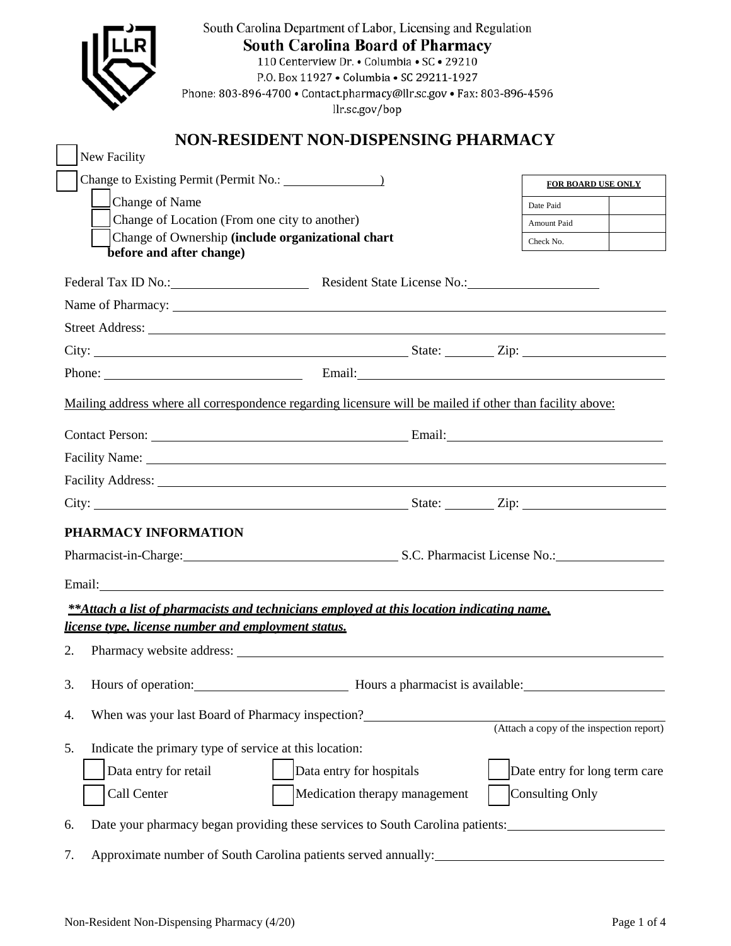|                                                            | South Carolina Department of Labor, Licensing and Regulation<br><b>South Carolina Board of Pharmacy</b><br>110 Centerview Dr. • Columbia • SC • 29210<br>P.O. Box 11927 . Columbia . SC 29211-1927<br>Phone: 803-896-4700 · Contact.pharmacy@llr.sc.gov · Fax: 803-896-4596<br>llr.sc.gov/bop |                               |  |  |
|------------------------------------------------------------|-----------------------------------------------------------------------------------------------------------------------------------------------------------------------------------------------------------------------------------------------------------------------------------------------|-------------------------------|--|--|
|                                                            | NON-RESIDENT NON-DISPENSING PHARMACY                                                                                                                                                                                                                                                          |                               |  |  |
| New Facility                                               |                                                                                                                                                                                                                                                                                               |                               |  |  |
|                                                            |                                                                                                                                                                                                                                                                                               | FOR BOARD USE ONLY            |  |  |
| Change of Name                                             |                                                                                                                                                                                                                                                                                               | Date Paid                     |  |  |
|                                                            | Change of Location (From one city to another)<br>Change of Ownership (include organizational chart                                                                                                                                                                                            | Amount Paid                   |  |  |
| before and after change)                                   |                                                                                                                                                                                                                                                                                               | Check No.                     |  |  |
|                                                            | Federal Tax ID No.: Resident State License No.: 1992                                                                                                                                                                                                                                          |                               |  |  |
|                                                            | Name of Pharmacy: 1988 and 2008 and 2008 and 2008 and 2008 and 2008 and 2008 and 2008 and 2008 and 2008 and 20                                                                                                                                                                                |                               |  |  |
|                                                            |                                                                                                                                                                                                                                                                                               |                               |  |  |
|                                                            |                                                                                                                                                                                                                                                                                               |                               |  |  |
|                                                            |                                                                                                                                                                                                                                                                                               |                               |  |  |
|                                                            | Mailing address where all correspondence regarding licensure will be mailed if other than facility above:                                                                                                                                                                                     |                               |  |  |
|                                                            |                                                                                                                                                                                                                                                                                               |                               |  |  |
|                                                            |                                                                                                                                                                                                                                                                                               |                               |  |  |
|                                                            |                                                                                                                                                                                                                                                                                               |                               |  |  |
|                                                            | Facility Address: 1988 and 2008 and 2008 and 2008 and 2008 and 2008 and 2008 and 2008 and 2008 and 2008 and 20                                                                                                                                                                                |                               |  |  |
|                                                            |                                                                                                                                                                                                                                                                                               |                               |  |  |
| PHARMACY INFORMATION                                       |                                                                                                                                                                                                                                                                                               |                               |  |  |
|                                                            | Pharmacist-in-Charge: S.C. Pharmacist License No.: Capacity Charmacist License No.:                                                                                                                                                                                                           |                               |  |  |
|                                                            | Email: Email:                                                                                                                                                                                                                                                                                 |                               |  |  |
|                                                            | **Attach a list of pharmacists and technicians employed at this location indicating name.                                                                                                                                                                                                     |                               |  |  |
| license type, license number and employment status.        |                                                                                                                                                                                                                                                                                               |                               |  |  |
| 2.                                                         | Pharmacy website address: Note and the set of the set of the set of the set of the set of the set of the set of the set of the set of the set of the set of the set of the set of the set of the set of the set of the set of                                                                 |                               |  |  |
| 3.<br>Hours of operation: Hours a pharmacist is available: |                                                                                                                                                                                                                                                                                               |                               |  |  |
| 4.                                                         | When was your last Board of Pharmacy inspection?<br>(Attach a copy of the inspection report)                                                                                                                                                                                                  |                               |  |  |
|                                                            |                                                                                                                                                                                                                                                                                               |                               |  |  |
| 5.                                                         | Indicate the primary type of service at this location:                                                                                                                                                                                                                                        |                               |  |  |
| Data entry for retail                                      | Data entry for hospitals                                                                                                                                                                                                                                                                      | Date entry for long term care |  |  |
| Call Center                                                | Medication therapy management                                                                                                                                                                                                                                                                 | Consulting Only               |  |  |
| 6.                                                         | Date your pharmacy began providing these services to South Carolina patients:                                                                                                                                                                                                                 |                               |  |  |
| 7.                                                         |                                                                                                                                                                                                                                                                                               |                               |  |  |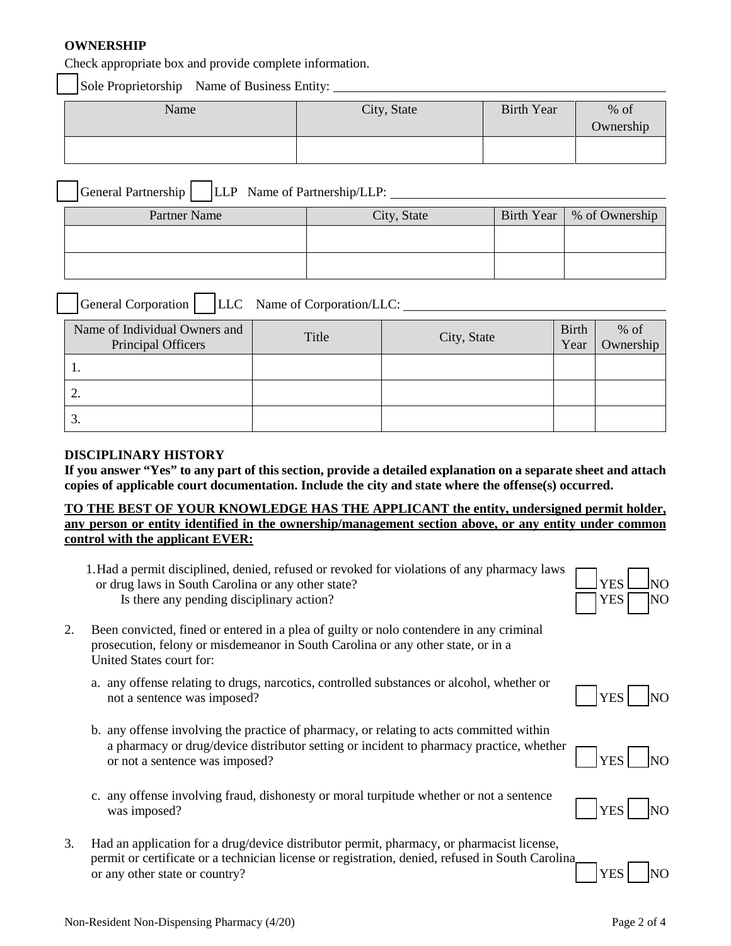# **OWNERSHIP**

Check appropriate box and provide complete information.

Sole Proprietorship Name of Business Entity:

| Name | City, State | <b>Birth Year</b> | $%$ of    |
|------|-------------|-------------------|-----------|
|      |             |                   | Ownership |
|      |             |                   |           |

| General Partnership |  |  | LLP Name of Partnership/LLP: |
|---------------------|--|--|------------------------------|
|---------------------|--|--|------------------------------|

| Partner Name | City, State | Birth Year   % of Ownership |
|--------------|-------------|-----------------------------|
|              |             |                             |
|              |             |                             |
|              |             |                             |

| General Corporation                                 | LLC Name of Corporation/LLC: |             |                      |                     |
|-----------------------------------------------------|------------------------------|-------------|----------------------|---------------------|
| Name of Individual Owners and<br>Principal Officers | Title                        | City, State | <b>Birth</b><br>Year | $%$ of<br>Ownership |
|                                                     |                              |             |                      |                     |
|                                                     |                              |             |                      |                     |
|                                                     |                              |             |                      |                     |

### **DISCIPLINARY HISTORY**

**If you answer "Yes" to any part of this section, provide a detailed explanation on a separate sheet and attach copies of applicable court documentation. Include the city and state where the offense(s) occurred.**

# **TO THE BEST OF YOUR KNOWLEDGE HAS THE APPLICANT the entity, undersigned permit holder, any person or entity identified in the ownership/management section above, or any entity under common control with the applicant EVER:**

1.Had a permit disciplined, denied, refused or revoked for violations of any pharmacy laws or drug laws in South Carolina or any other state? Is there any pending disciplinary action?  $\Box$  YES  $\Box$  NO



- 2. Been convicted, fined or entered in a plea of guilty or nolo contendere in any criminal prosecution, felony or misdemeanor in South Carolina or any other state, or in a United States court for:
	- a. any offense relating to drugs, narcotics, controlled substances or alcohol, whether or not a sentence was imposed?  $YES$
	- b. any offense involving the practice of pharmacy, or relating to acts committed within a pharmacy or drug/device distributor setting or incident to pharmacy practice, whether or not a sentence was imposed?
	- c. any offense involving fraud, dishonesty or moral turpitude whether or not a sentence was imposed?  $|YES$
- 3. Had an application for a drug/device distributor permit, pharmacy, or pharmacist license, permit or certificate or a technician license or registration, denied, refused in South Carolina or any other state or country?  $\vert$  YES  $\vert$  NO





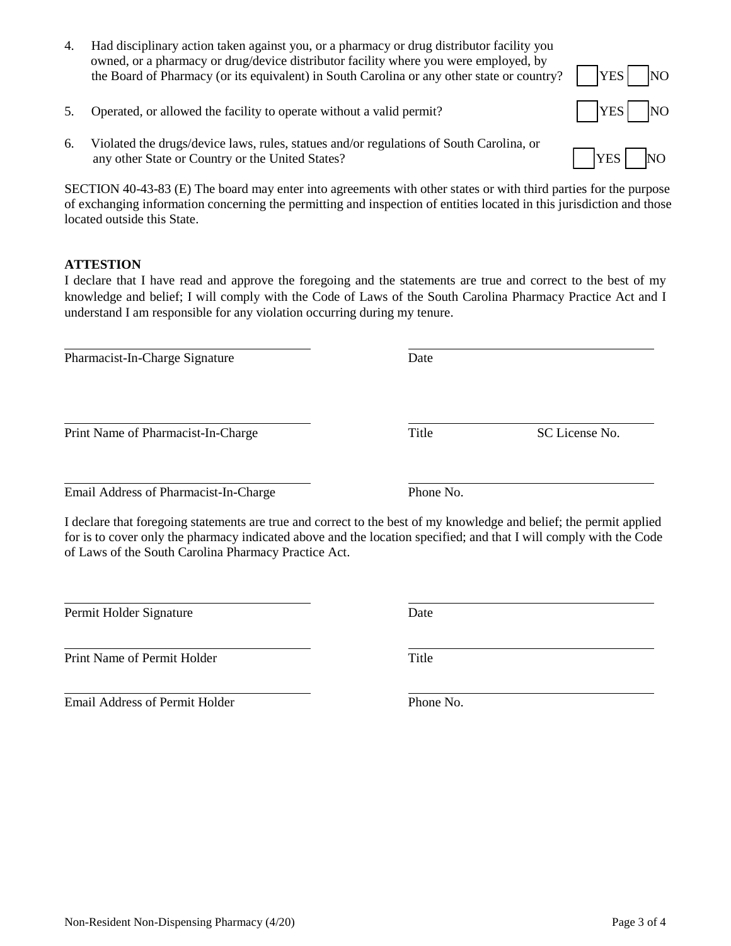- 4. Had disciplinary action taken against you, or a pharmacy or drug distributor facility you owned, or a pharmacy or drug/device distributor facility where you were employed, by the Board of Pharmacy (or its equivalent) in South Carolina or any other state or country?  $\begin{bmatrix} \text{YES} \\ \text{NOS} \end{bmatrix}$  NO
- 5. Operated, or allowed the facility to operate without a valid permit?  $|YES|$  NO
- 6. Violated the drugs/device laws, rules, statues and/or regulations of South Carolina, or any other State or Country or the United States?  $\parallel$  YES  $\parallel$  NO

SECTION 40-43-83 (E) The board may enter into agreements with other states or with third parties for the purpose of exchanging information concerning the permitting and inspection of entities located in this jurisdiction and those located outside this State.

# **ATTESTION**

 $\overline{a}$ 

 $\overline{a}$ 

I declare that I have read and approve the foregoing and the statements are true and correct to the best of my knowledge and belief; I will comply with the Code of Laws of the South Carolina Pharmacy Practice Act and I understand I am responsible for any violation occurring during my tenure.

Pharmacist-In-Charge Signature Date

Print Name of Pharmacist-In-Charge Title SC License No.

 $\overline{a}$ Email Address of Pharmacist-In-Charge Phone No.

I declare that foregoing statements are true and correct to the best of my knowledge and belief; the permit applied for is to cover only the pharmacy indicated above and the location specified; and that I will comply with the Code of Laws of the South Carolina Pharmacy Practice Act.

Permit Holder Signature Date

 Print Name of Permit Holder Title

 Email Address of Permit Holder Phone No.